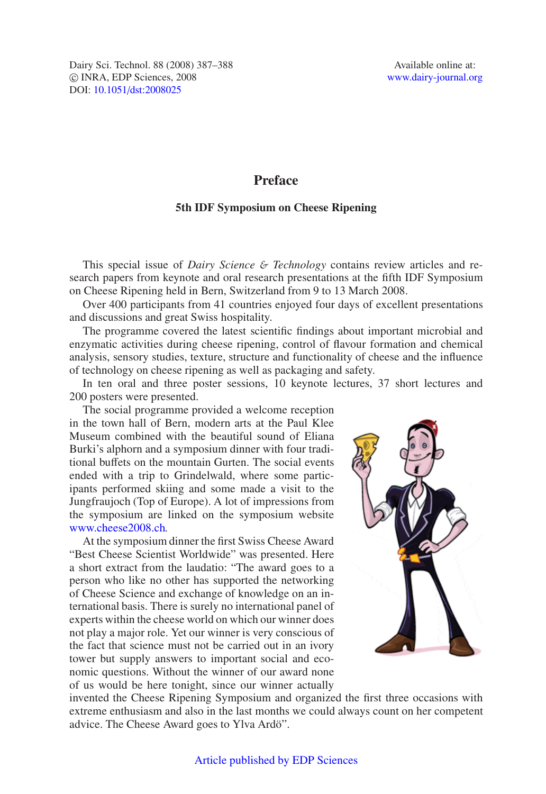## **Preface**

## **5th IDF Symposium on Cheese Ripening**

This special issue of *Dairy Science* & *Technology* contains review articles and research papers from keynote and oral research presentations at the fifth IDF Symposium on Cheese Ripening held in Bern, Switzerland from 9 to 13 March 2008.

Over 400 participants from 41 countries enjoyed four days of excellent presentations and discussions and great Swiss hospitality.

The programme covered the latest scientific findings about important microbial and enzymatic activities during cheese ripening, control of flavour formation and chemical analysis, sensory studies, texture, structure and functionality of cheese and the influence of technology on cheese ripening as well as packaging and safety.

In ten oral and three poster sessions, 10 keynote lectures, 37 short lectures and 200 posters were presented.

The social programme provided a welcome reception in the town hall of Bern, modern arts at the Paul Klee Museum combined with the beautiful sound of Eliana Burki's alphorn and a symposium dinner with four traditional buffets on the mountain Gurten. The social events ended with a trip to Grindelwald, where some participants performed skiing and some made a visit to the Jungfraujoch (Top of Europe). A lot of impressions from the symposium are linked on the symposium website [www.cheese2008.ch.](www.cheese2008.ch)

At the symposium dinner the first Swiss Cheese Award "Best Cheese Scientist Worldwide" was presented. Here a short extract from the laudatio: "The award goes to a person who like no other has supported the networking of Cheese Science and exchange of knowledge on an international basis. There is surely no international panel of experts within the cheese world on which our winner does not play a major role. Yet our winner is very conscious of the fact that science must not be carried out in an ivory tower but supply answers to important social and economic questions. Without the winner of our award none of us would be here tonight, since our winner actually



invented the Cheese Ripening Symposium and organized the first three occasions with extreme enthusiasm and also in the last months we could always count on her competent advice. The Cheese Award goes to Ylva Ardö".